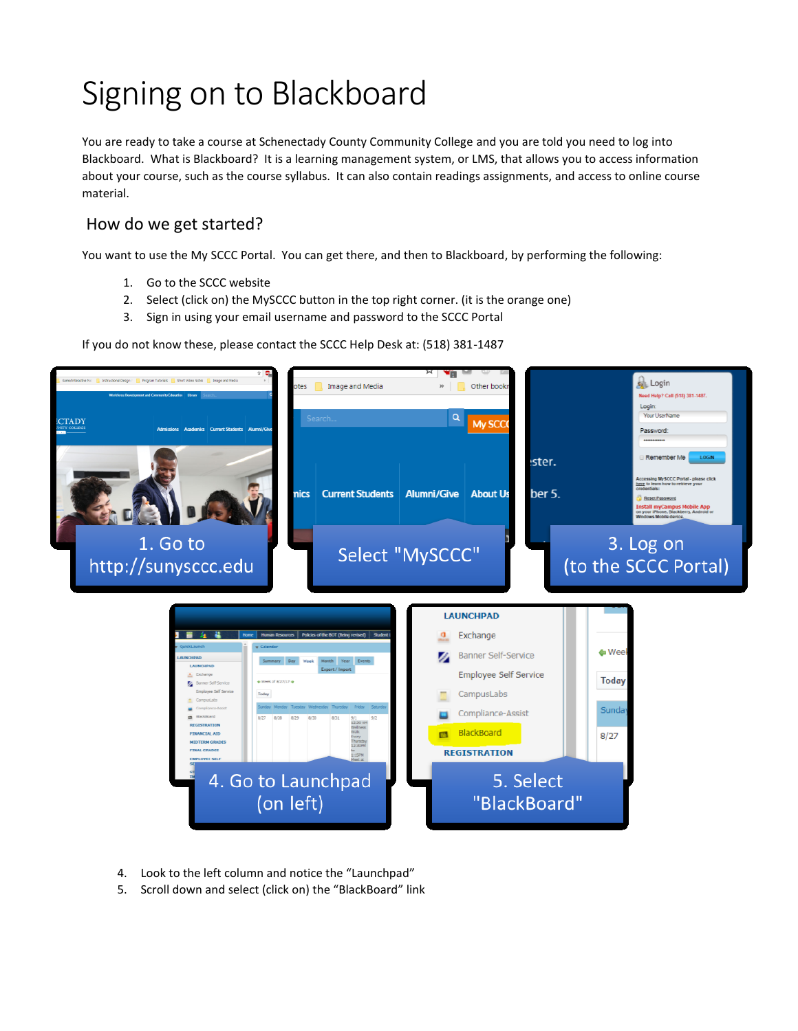## Signing on to Blackboard

You are ready to take a course at Schenectady County Community College and you are told you need to log into Blackboard. What is Blackboard? It is a learning management system, or LMS, that allows you to access information about your course, such as the course syllabus. It can also contain readings assignments, and access to online course material.

## How do we get started?

You want to use the My SCCC Portal. You can get there, and then to Blackboard, by performing the following:

- 1. Go to the SCCC website
- 2. Select (click on) the MySCCC button in the top right corner. (it is the orange one)
- 3. Sign in using your email username and password to the SCCC Portal

If you do not know these, please contact the SCCC Help Desk at: (518) 381-1487



- 4. Look to the left column and notice the "Launchpad"
- 5. Scroll down and select (click on) the "BlackBoard" link